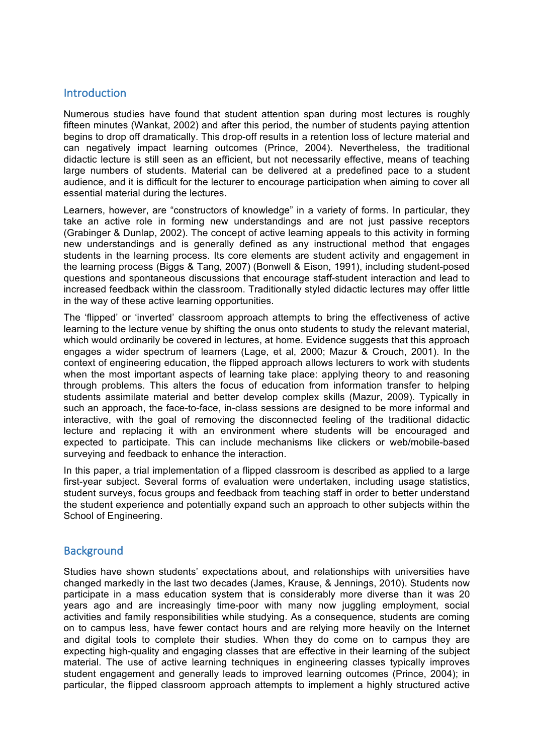### Introduction

Numerous studies have found that student attention span during most lectures is roughly fifteen minutes (Wankat, 2002) and after this period, the number of students paying attention begins to drop off dramatically. This drop-off results in a retention loss of lecture material and can negatively impact learning outcomes (Prince, 2004). Nevertheless, the traditional didactic lecture is still seen as an efficient, but not necessarily effective, means of teaching large numbers of students. Material can be delivered at a predefined pace to a student audience, and it is difficult for the lecturer to encourage participation when aiming to cover all essential material during the lectures.

Learners, however, are "constructors of knowledge" in a variety of forms. In particular, they take an active role in forming new understandings and are not just passive receptors (Grabinger & Dunlap, 2002). The concept of active learning appeals to this activity in forming new understandings and is generally defined as any instructional method that engages students in the learning process. Its core elements are student activity and engagement in the learning process (Biggs & Tang, 2007) (Bonwell & Eison, 1991), including student-posed questions and spontaneous discussions that encourage staff-student interaction and lead to increased feedback within the classroom. Traditionally styled didactic lectures may offer little in the way of these active learning opportunities.

The 'flipped' or 'inverted' classroom approach attempts to bring the effectiveness of active learning to the lecture venue by shifting the onus onto students to study the relevant material, which would ordinarily be covered in lectures, at home. Evidence suggests that this approach engages a wider spectrum of learners (Lage, et al, 2000; Mazur & Crouch, 2001). In the context of engineering education, the flipped approach allows lecturers to work with students when the most important aspects of learning take place: applying theory to and reasoning through problems. This alters the focus of education from information transfer to helping students assimilate material and better develop complex skills (Mazur, 2009). Typically in such an approach, the face-to-face, in-class sessions are designed to be more informal and interactive, with the goal of removing the disconnected feeling of the traditional didactic lecture and replacing it with an environment where students will be encouraged and expected to participate. This can include mechanisms like clickers or web/mobile-based surveying and feedback to enhance the interaction.

In this paper, a trial implementation of a flipped classroom is described as applied to a large first-year subject. Several forms of evaluation were undertaken, including usage statistics, student surveys, focus groups and feedback from teaching staff in order to better understand the student experience and potentially expand such an approach to other subjects within the School of Engineering.

## **Background**

Studies have shown students' expectations about, and relationships with universities have changed markedly in the last two decades (James, Krause, & Jennings, 2010). Students now participate in a mass education system that is considerably more diverse than it was 20 years ago and are increasingly time-poor with many now juggling employment, social activities and family responsibilities while studying. As a consequence, students are coming on to campus less, have fewer contact hours and are relying more heavily on the Internet and digital tools to complete their studies. When they do come on to campus they are expecting high-quality and engaging classes that are effective in their learning of the subject material. The use of active learning techniques in engineering classes typically improves student engagement and generally leads to improved learning outcomes (Prince, 2004); in particular, the flipped classroom approach attempts to implement a highly structured active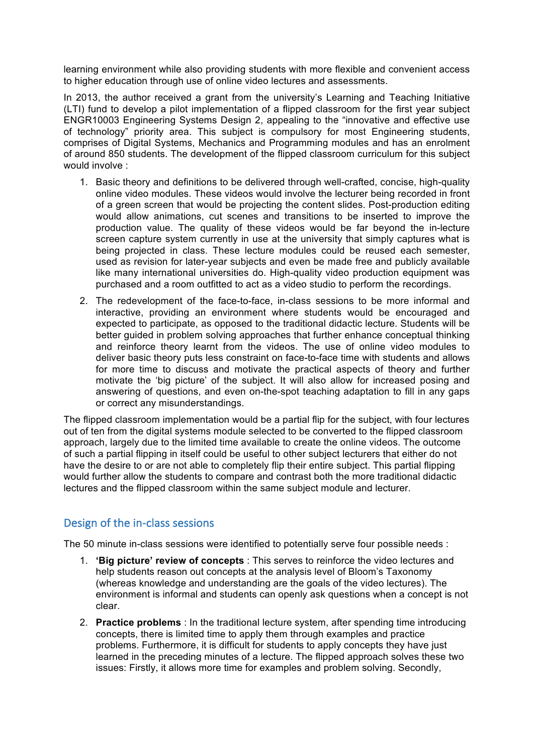learning environment while also providing students with more flexible and convenient access to higher education through use of online video lectures and assessments.

In 2013, the author received a grant from the university's Learning and Teaching Initiative (LTI) fund to develop a pilot implementation of a flipped classroom for the first year subject ENGR10003 Engineering Systems Design 2, appealing to the "innovative and effective use of technology" priority area. This subject is compulsory for most Engineering students, comprises of Digital Systems, Mechanics and Programming modules and has an enrolment of around 850 students. The development of the flipped classroom curriculum for this subject would involve :

- 1. Basic theory and definitions to be delivered through well-crafted, concise, high-quality online video modules. These videos would involve the lecturer being recorded in front of a green screen that would be projecting the content slides. Post-production editing would allow animations, cut scenes and transitions to be inserted to improve the production value. The quality of these videos would be far beyond the in-lecture screen capture system currently in use at the university that simply captures what is being projected in class. These lecture modules could be reused each semester, used as revision for later-year subjects and even be made free and publicly available like many international universities do. High-quality video production equipment was purchased and a room outfitted to act as a video studio to perform the recordings.
- 2. The redevelopment of the face-to-face, in-class sessions to be more informal and interactive, providing an environment where students would be encouraged and expected to participate, as opposed to the traditional didactic lecture. Students will be better guided in problem solving approaches that further enhance conceptual thinking and reinforce theory learnt from the videos. The use of online video modules to deliver basic theory puts less constraint on face-to-face time with students and allows for more time to discuss and motivate the practical aspects of theory and further motivate the 'big picture' of the subject. It will also allow for increased posing and answering of questions, and even on-the-spot teaching adaptation to fill in any gaps or correct any misunderstandings.

The flipped classroom implementation would be a partial flip for the subject, with four lectures out of ten from the digital systems module selected to be converted to the flipped classroom approach, largely due to the limited time available to create the online videos. The outcome of such a partial flipping in itself could be useful to other subject lecturers that either do not have the desire to or are not able to completely flip their entire subject. This partial flipping would further allow the students to compare and contrast both the more traditional didactic lectures and the flipped classroom within the same subject module and lecturer.

# Design of the in-class sessions

The 50 minute in-class sessions were identified to potentially serve four possible needs :

- 1. **'Big picture' review of concepts** : This serves to reinforce the video lectures and help students reason out concepts at the analysis level of Bloom's Taxonomy (whereas knowledge and understanding are the goals of the video lectures). The environment is informal and students can openly ask questions when a concept is not clear.
- 2. **Practice problems** : In the traditional lecture system, after spending time introducing concepts, there is limited time to apply them through examples and practice problems. Furthermore, it is difficult for students to apply concepts they have just learned in the preceding minutes of a lecture. The flipped approach solves these two issues: Firstly, it allows more time for examples and problem solving. Secondly,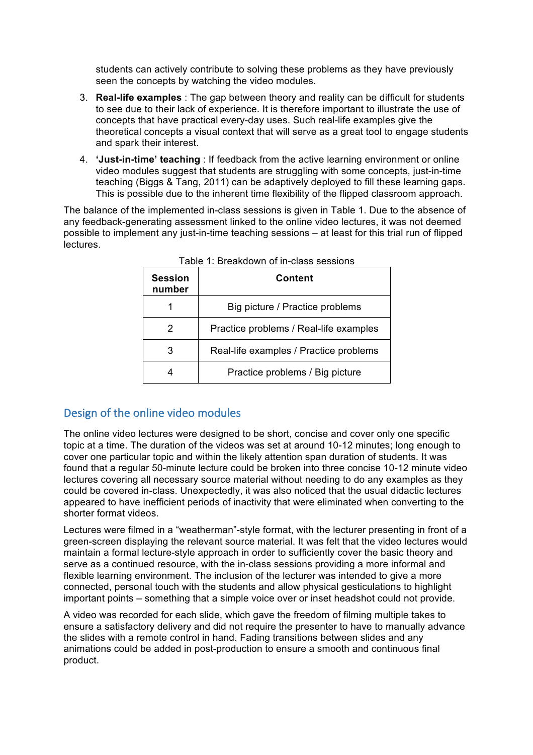students can actively contribute to solving these problems as they have previously seen the concepts by watching the video modules.

- 3. **Real-life examples** : The gap between theory and reality can be difficult for students to see due to their lack of experience. It is therefore important to illustrate the use of concepts that have practical every-day uses. Such real-life examples give the theoretical concepts a visual context that will serve as a great tool to engage students and spark their interest.
- 4. **'Just-in-time' teaching** : If feedback from the active learning environment or online video modules suggest that students are struggling with some concepts, just-in-time teaching (Biggs & Tang, 2011) can be adaptively deployed to fill these learning gaps. This is possible due to the inherent time flexibility of the flipped classroom approach.

The balance of the implemented in-class sessions is given in Table 1. Due to the absence of any feedback-generating assessment linked to the online video lectures, it was not deemed possible to implement any just-in-time teaching sessions – at least for this trial run of flipped lectures.

| <b>Session</b><br>number | Content                                |
|--------------------------|----------------------------------------|
|                          | Big picture / Practice problems        |
| 2                        | Practice problems / Real-life examples |
| 3                        | Real-life examples / Practice problems |
|                          | Practice problems / Big picture        |

|  |  |  | Table 1: Breakdown of in-class sessions |  |  |  |
|--|--|--|-----------------------------------------|--|--|--|
|--|--|--|-----------------------------------------|--|--|--|

# Design of the online video modules

The online video lectures were designed to be short, concise and cover only one specific topic at a time. The duration of the videos was set at around 10-12 minutes; long enough to cover one particular topic and within the likely attention span duration of students. It was found that a regular 50-minute lecture could be broken into three concise 10-12 minute video lectures covering all necessary source material without needing to do any examples as they could be covered in-class. Unexpectedly, it was also noticed that the usual didactic lectures appeared to have inefficient periods of inactivity that were eliminated when converting to the shorter format videos.

Lectures were filmed in a "weatherman"-style format, with the lecturer presenting in front of a green-screen displaying the relevant source material. It was felt that the video lectures would maintain a formal lecture-style approach in order to sufficiently cover the basic theory and serve as a continued resource, with the in-class sessions providing a more informal and flexible learning environment. The inclusion of the lecturer was intended to give a more connected, personal touch with the students and allow physical gesticulations to highlight important points – something that a simple voice over or inset headshot could not provide.

A video was recorded for each slide, which gave the freedom of filming multiple takes to ensure a satisfactory delivery and did not require the presenter to have to manually advance the slides with a remote control in hand. Fading transitions between slides and any animations could be added in post-production to ensure a smooth and continuous final product.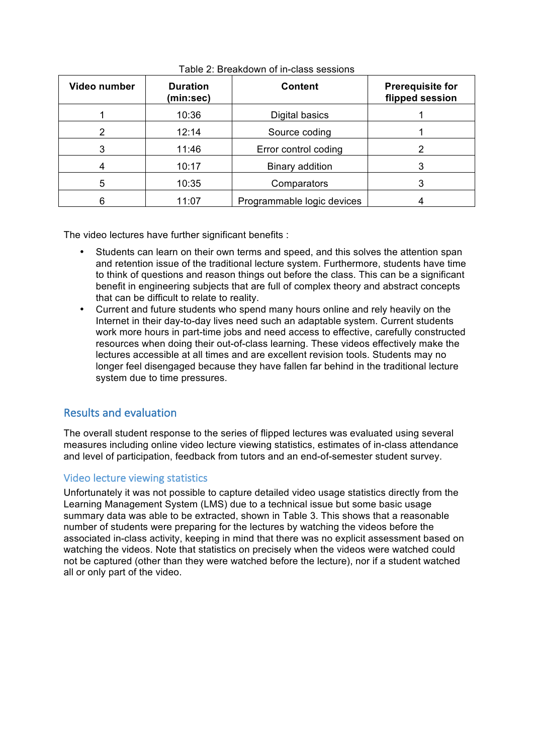| Video number | <b>Duration</b><br>(min:sec) | <b>Content</b>             | <b>Prerequisite for</b><br>flipped session |
|--------------|------------------------------|----------------------------|--------------------------------------------|
|              | 10:36                        | Digital basics             |                                            |
|              | 12:14                        | Source coding              |                                            |
| 3            | 11:46                        | Error control coding       |                                            |
|              | 10:17                        | Binary addition            |                                            |
| 5            | 10:35                        | Comparators                |                                            |
|              | 11:07                        | Programmable logic devices |                                            |

Table 2: Breakdown of in-class sessions

The video lectures have further significant benefits :

- Students can learn on their own terms and speed, and this solves the attention span and retention issue of the traditional lecture system. Furthermore, students have time to think of questions and reason things out before the class. This can be a significant benefit in engineering subjects that are full of complex theory and abstract concepts that can be difficult to relate to reality.
- Current and future students who spend many hours online and rely heavily on the Internet in their day-to-day lives need such an adaptable system. Current students work more hours in part-time jobs and need access to effective, carefully constructed resources when doing their out-of-class learning. These videos effectively make the lectures accessible at all times and are excellent revision tools. Students may no longer feel disengaged because they have fallen far behind in the traditional lecture system due to time pressures.

# Results and evaluation

The overall student response to the series of flipped lectures was evaluated using several measures including online video lecture viewing statistics, estimates of in-class attendance and level of participation, feedback from tutors and an end-of-semester student survey.

# Video lecture viewing statistics

Unfortunately it was not possible to capture detailed video usage statistics directly from the Learning Management System (LMS) due to a technical issue but some basic usage summary data was able to be extracted, shown in Table 3. This shows that a reasonable number of students were preparing for the lectures by watching the videos before the associated in-class activity, keeping in mind that there was no explicit assessment based on watching the videos. Note that statistics on precisely when the videos were watched could not be captured (other than they were watched before the lecture), nor if a student watched all or only part of the video.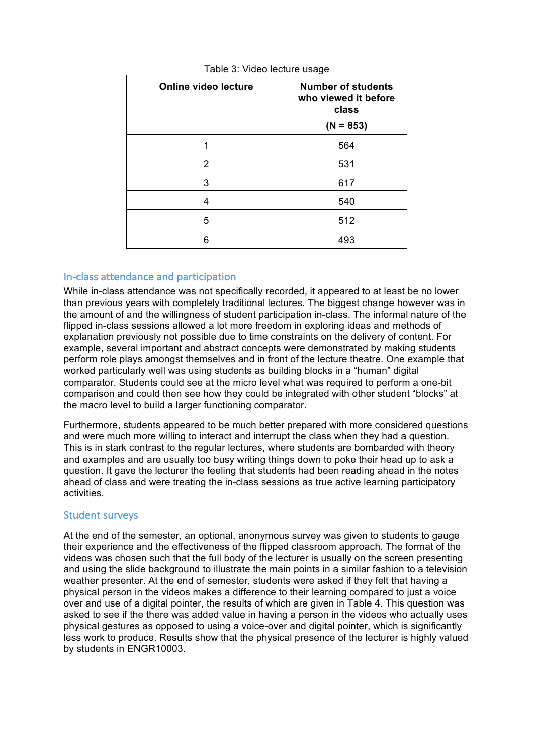| <b>Online video lecture</b> | <b>Number of students</b><br>who viewed it before<br>class<br>$(N = 853)$ |
|-----------------------------|---------------------------------------------------------------------------|
|                             | 564                                                                       |
| 2                           | 531                                                                       |
| 3                           | 617                                                                       |
| 4                           | 540                                                                       |
| 5                           | 512                                                                       |
| հ                           | 493                                                                       |

#### Table 3: Video lecture usage

### In-class attendance and participation

While in-class attendance was not specifically recorded, it appeared to at least be no lower than previous years with completely traditional lectures. The biggest change however was in the amount of and the willingness of student participation in-class. The informal nature of the flipped in-class sessions allowed a lot more freedom in exploring ideas and methods of explanation previously not possible due to time constraints on the delivery of content. For example, several important and abstract concepts were demonstrated by making students perform role plays amongst themselves and in front of the lecture theatre. One example that worked particularly well was using students as building blocks in a "human" digital comparator. Students could see at the micro level what was required to perform a one-bit comparison and could then see how they could be integrated with other student "blocks" at the macro level to build a larger functioning comparator.

Furthermore, students appeared to be much better prepared with more considered questions and were much more willing to interact and interrupt the class when they had a question. This is in stark contrast to the regular lectures, where students are bombarded with theory and examples and are usually too busy writing things down to poke their head up to ask a question. It gave the lecturer the feeling that students had been reading ahead in the notes ahead of class and were treating the in-class sessions as true active learning participatory activities.

#### Student surveys

At the end of the semester, an optional, anonymous survey was given to students to gauge their experience and the effectiveness of the flipped classroom approach. The format of the videos was chosen such that the full body of the lecturer is usually on the screen presenting and using the slide background to illustrate the main points in a similar fashion to a television weather presenter. At the end of semester, students were asked if they felt that having a physical person in the videos makes a difference to their learning compared to just a voice over and use of a digital pointer, the results of which are given in Table 4. This question was asked to see if the there was added value in having a person in the videos who actually uses physical gestures as opposed to using a voice-over and digital pointer, which is significantly less work to produce. Results show that the physical presence of the lecturer is highly valued by students in ENGR10003.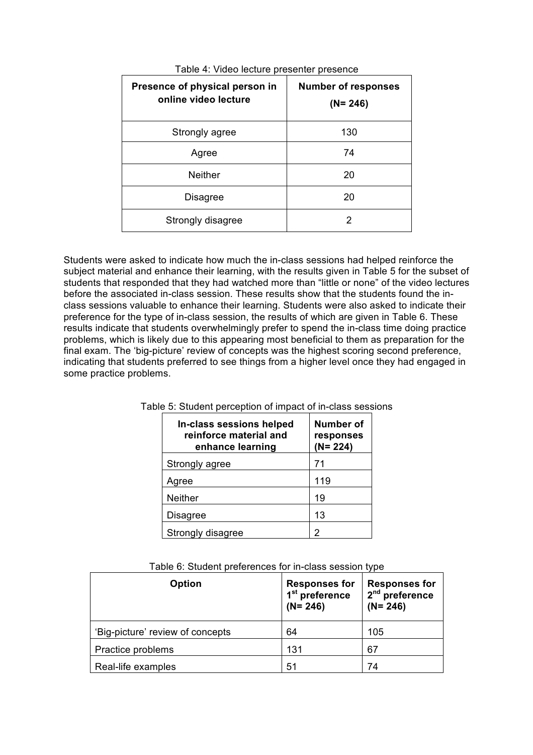| Presence of physical person in<br>online video lecture | <b>Number of responses</b><br>$(N = 246)$ |
|--------------------------------------------------------|-------------------------------------------|
| Strongly agree                                         | 130                                       |
| Agree                                                  | 74                                        |
| <b>Neither</b>                                         | 20                                        |
| <b>Disagree</b>                                        | 20                                        |
| Strongly disagree                                      |                                           |

Table 4: Video lecture presenter presence

Students were asked to indicate how much the in-class sessions had helped reinforce the subject material and enhance their learning, with the results given in Table 5 for the subset of students that responded that they had watched more than "little or none" of the video lectures before the associated in-class session. These results show that the students found the inclass sessions valuable to enhance their learning. Students were also asked to indicate their preference for the type of in-class session, the results of which are given in Table 6. These results indicate that students overwhelmingly prefer to spend the in-class time doing practice problems, which is likely due to this appearing most beneficial to them as preparation for the final exam. The 'big-picture' review of concepts was the highest scoring second preference, indicating that students preferred to see things from a higher level once they had engaged in some practice problems.

| In-class sessions helped<br>reinforce material and<br>enhance learning | Number of<br>responses<br>$(N = 224)$ |
|------------------------------------------------------------------------|---------------------------------------|
| Strongly agree                                                         | 71                                    |
| Agree                                                                  | 119                                   |
| Neither                                                                | 19                                    |
| <b>Disagree</b>                                                        | 13                                    |
| Strongly disagree                                                      |                                       |

|  | Table 5: Student perception of impact of in-class sessions |  |  |  |  |
|--|------------------------------------------------------------|--|--|--|--|

| <b>Option</b>                    | <b>Responses for</b><br>1 <sup>st</sup> preference<br>$(N = 246)$ | <b>Responses for</b><br>2 <sup>nd</sup> preference<br>$(N = 246)$ |
|----------------------------------|-------------------------------------------------------------------|-------------------------------------------------------------------|
| 'Big-picture' review of concepts | 64                                                                | 105                                                               |
| Practice problems                | 131                                                               | 67                                                                |
| Real-life examples               | 51                                                                | 74                                                                |

Table 6: Student preferences for in-class session type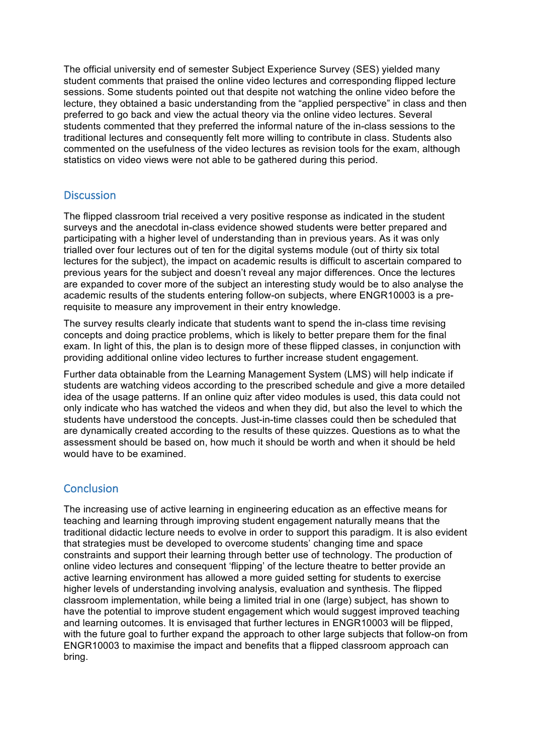The official university end of semester Subject Experience Survey (SES) yielded many student comments that praised the online video lectures and corresponding flipped lecture sessions. Some students pointed out that despite not watching the online video before the lecture, they obtained a basic understanding from the "applied perspective" in class and then preferred to go back and view the actual theory via the online video lectures. Several students commented that they preferred the informal nature of the in-class sessions to the traditional lectures and consequently felt more willing to contribute in class. Students also commented on the usefulness of the video lectures as revision tools for the exam, although statistics on video views were not able to be gathered during this period.

## **Discussion**

The flipped classroom trial received a very positive response as indicated in the student surveys and the anecdotal in-class evidence showed students were better prepared and participating with a higher level of understanding than in previous years. As it was only trialled over four lectures out of ten for the digital systems module (out of thirty six total lectures for the subject), the impact on academic results is difficult to ascertain compared to previous years for the subject and doesn't reveal any major differences. Once the lectures are expanded to cover more of the subject an interesting study would be to also analyse the academic results of the students entering follow-on subjects, where ENGR10003 is a prerequisite to measure any improvement in their entry knowledge.

The survey results clearly indicate that students want to spend the in-class time revising concepts and doing practice problems, which is likely to better prepare them for the final exam. In light of this, the plan is to design more of these flipped classes, in conjunction with providing additional online video lectures to further increase student engagement.

Further data obtainable from the Learning Management System (LMS) will help indicate if students are watching videos according to the prescribed schedule and give a more detailed idea of the usage patterns. If an online quiz after video modules is used, this data could not only indicate who has watched the videos and when they did, but also the level to which the students have understood the concepts. Just-in-time classes could then be scheduled that are dynamically created according to the results of these quizzes. Questions as to what the assessment should be based on, how much it should be worth and when it should be held would have to be examined.

# **Conclusion**

The increasing use of active learning in engineering education as an effective means for teaching and learning through improving student engagement naturally means that the traditional didactic lecture needs to evolve in order to support this paradigm. It is also evident that strategies must be developed to overcome students' changing time and space constraints and support their learning through better use of technology. The production of online video lectures and consequent 'flipping' of the lecture theatre to better provide an active learning environment has allowed a more guided setting for students to exercise higher levels of understanding involving analysis, evaluation and synthesis. The flipped classroom implementation, while being a limited trial in one (large) subject, has shown to have the potential to improve student engagement which would suggest improved teaching and learning outcomes. It is envisaged that further lectures in ENGR10003 will be flipped, with the future goal to further expand the approach to other large subjects that follow-on from ENGR10003 to maximise the impact and benefits that a flipped classroom approach can bring.